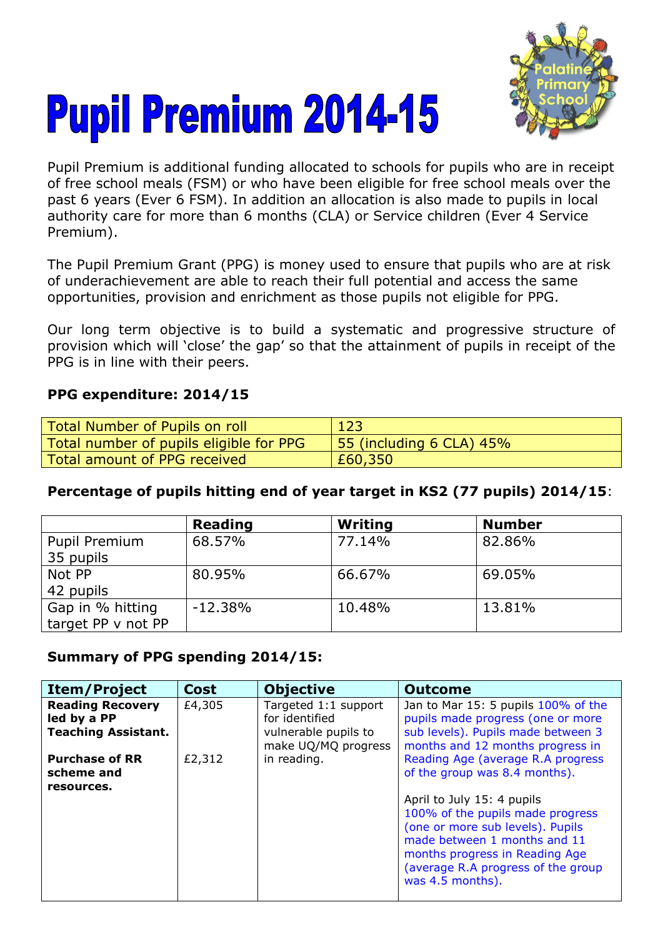



Pupil Premium is additional funding allocated to schools for pupils who are in receipt of free school meals (FSM) or who have been eligible for free school meals over the past 6 years (Ever 6 FSM). In addition an allocation is also made to pupils in local authority care for more than 6 months (CLA) or Service children (Ever 4 Service Premium).

The Pupil Premium Grant (PPG) is money used to ensure that pupils who are at risk of underachievement are able to reach their full potential and access the same opportunities, provision and enrichment as those pupils not eligible for PPG.

Our long term objective is to build a systematic and progressive structure of provision which will 'close' the gap' so that the attainment of pupils in receipt of the PPG is in line with their peers.

## **PPG expenditure: 2014/15**

| Total Number of Pupils on roll          | 123                      |
|-----------------------------------------|--------------------------|
| Total number of pupils eligible for PPG | 55 (including 6 CLA) 45% |
| Total amount of PPG received            | £60,350                  |

## **Percentage of pupils hitting end of year target in KS2 (77 pupils) 2014/15**:

|                    | <b>Reading</b> | Writing | <b>Number</b> |
|--------------------|----------------|---------|---------------|
| Pupil Premium      | 68.57%         | 77.14%  | 82.86%        |
| 35 pupils          |                |         |               |
| Not PP             | 80.95%         | 66.67%  | 69.05%        |
| 42 pupils          |                |         |               |
| Gap in % hitting   | $-12.38%$      | 10.48%  | 13.81%        |
| target PP v not PP |                |         |               |

## **Summary of PPG spending 2014/15:**

| <b>Item/Project</b>                                                  | <b>Cost</b> | <b>Objective</b>                                                                      | <b>Outcome</b>                                                                                                                                                                                                                                                                                       |
|----------------------------------------------------------------------|-------------|---------------------------------------------------------------------------------------|------------------------------------------------------------------------------------------------------------------------------------------------------------------------------------------------------------------------------------------------------------------------------------------------------|
| <b>Reading Recovery</b><br>led by a PP<br><b>Teaching Assistant.</b> | £4,305      | Targeted 1:1 support<br>for identified<br>vulnerable pupils to<br>make UQ/MQ progress | Jan to Mar 15: 5 pupils 100% of the<br>pupils made progress (one or more<br>sub levels). Pupils made between 3<br>months and 12 months progress in                                                                                                                                                   |
| <b>Purchase of RR</b><br>scheme and<br>resources.                    | £2,312      | in reading.                                                                           | Reading Age (average R.A progress<br>of the group was 8.4 months).<br>April to July 15: 4 pupils<br>100% of the pupils made progress<br>(one or more sub levels). Pupils<br>made between 1 months and 11<br>months progress in Reading Age<br>(average R.A progress of the group<br>was 4.5 months). |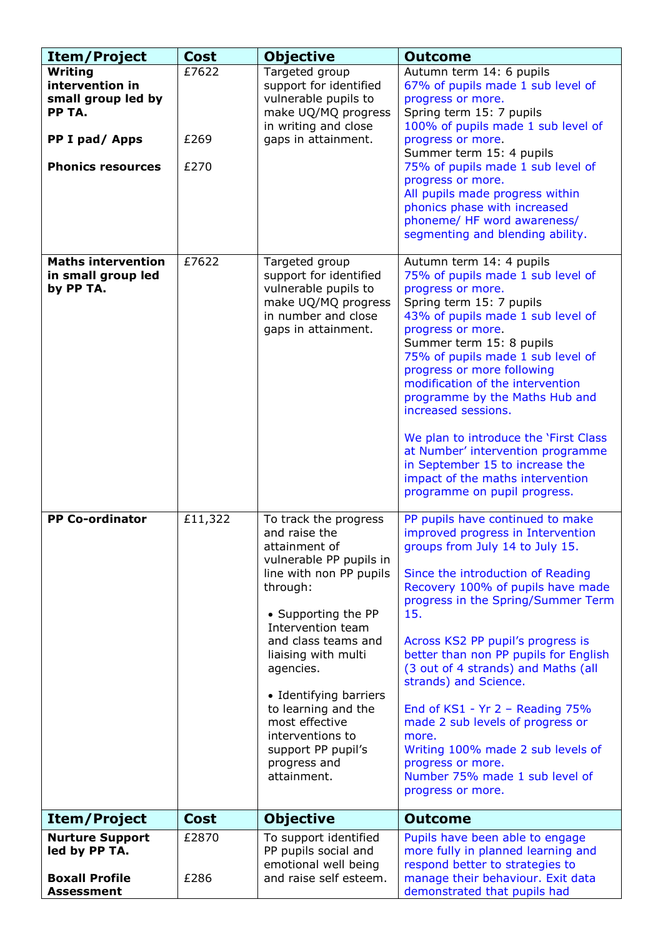| <b>Item/Project</b>                                                                                      | <b>Cost</b>           | <b>Objective</b>                                                                                                                                                                                                                                                                                                                                                             | <b>Outcome</b>                                                                                                                                                                                                                                                                                                                                                                                                                                                                                                                                                                   |
|----------------------------------------------------------------------------------------------------------|-----------------------|------------------------------------------------------------------------------------------------------------------------------------------------------------------------------------------------------------------------------------------------------------------------------------------------------------------------------------------------------------------------------|----------------------------------------------------------------------------------------------------------------------------------------------------------------------------------------------------------------------------------------------------------------------------------------------------------------------------------------------------------------------------------------------------------------------------------------------------------------------------------------------------------------------------------------------------------------------------------|
| Writing<br>intervention in<br>small group led by<br>PP TA.<br>PP I pad/ Apps<br><b>Phonics resources</b> | £7622<br>£269<br>£270 | Targeted group<br>support for identified<br>vulnerable pupils to<br>make UQ/MQ progress<br>in writing and close<br>gaps in attainment.                                                                                                                                                                                                                                       | Autumn term 14: 6 pupils<br>67% of pupils made 1 sub level of<br>progress or more.<br>Spring term 15: 7 pupils<br>100% of pupils made 1 sub level of<br>progress or more.<br>Summer term 15: 4 pupils<br>75% of pupils made 1 sub level of<br>progress or more.<br>All pupils made progress within<br>phonics phase with increased<br>phoneme/ HF word awareness/<br>segmenting and blending ability.                                                                                                                                                                            |
| <b>Maths intervention</b><br>in small group led<br>by PP TA.                                             | £7622                 | Targeted group<br>support for identified<br>vulnerable pupils to<br>make UQ/MQ progress<br>in number and close<br>gaps in attainment.                                                                                                                                                                                                                                        | Autumn term 14: 4 pupils<br>75% of pupils made 1 sub level of<br>progress or more.<br>Spring term 15: 7 pupils<br>43% of pupils made 1 sub level of<br>progress or more.<br>Summer term 15: 8 pupils<br>75% of pupils made 1 sub level of<br>progress or more following<br>modification of the intervention<br>programme by the Maths Hub and<br>increased sessions.<br>We plan to introduce the 'First Class<br>at Number' intervention programme<br>in September 15 to increase the<br>impact of the maths intervention<br>programme on pupil progress.                        |
| <b>PP Co-ordinator</b>                                                                                   | £11,322               | To track the progress<br>and raise the<br>attainment of<br>vulnerable PP pupils in<br>line with non PP pupils<br>through:<br>• Supporting the PP<br>Intervention team<br>and class teams and<br>liaising with multi<br>agencies.<br>• Identifying barriers<br>to learning and the<br>most effective<br>interventions to<br>support PP pupil's<br>progress and<br>attainment. | PP pupils have continued to make<br>improved progress in Intervention<br>groups from July 14 to July 15.<br>Since the introduction of Reading<br>Recovery 100% of pupils have made<br>progress in the Spring/Summer Term<br>15.<br>Across KS2 PP pupil's progress is<br>better than non PP pupils for English<br>(3 out of 4 strands) and Maths (all<br>strands) and Science.<br>End of $KS1 - Yr 2 - Reading 75%$<br>made 2 sub levels of progress or<br>more.<br>Writing 100% made 2 sub levels of<br>progress or more.<br>Number 75% made 1 sub level of<br>progress or more. |
| <b>Item/Project</b>                                                                                      | <b>Cost</b>           | <b>Objective</b>                                                                                                                                                                                                                                                                                                                                                             | <b>Outcome</b>                                                                                                                                                                                                                                                                                                                                                                                                                                                                                                                                                                   |
| <b>Nurture Support</b><br>led by PP TA.<br><b>Boxall Profile</b><br><b>Assessment</b>                    | £2870<br>£286         | To support identified<br>PP pupils social and<br>emotional well being<br>and raise self esteem.                                                                                                                                                                                                                                                                              | Pupils have been able to engage<br>more fully in planned learning and<br>respond better to strategies to<br>manage their behaviour. Exit data<br>demonstrated that pupils had                                                                                                                                                                                                                                                                                                                                                                                                    |